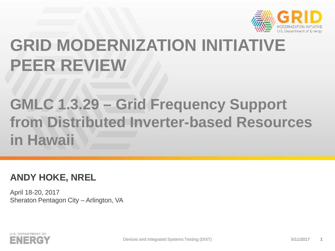

# **GRID MODERNIZATION INITIATIVE PEER REVIEW**

# **GMLC 1.3.29 – Grid Frequency Support from Distributed Inverter-based Resources in Hawaii**

## **ANDY HOKE, NREL**

April 18-20, 2017 Sheraton Pentagon City – Arlington, VA

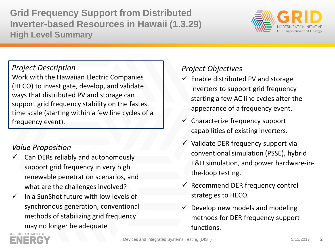**Grid Frequency Support from Distributed Inverter-based Resources in Hawaii (1.3.29) High Level Summary**



#### *Project Description*

Work with the Hawaiian Electric Companies (HECO) to investigate, develop, and validate ways that distributed PV and storage can support grid frequency stability on the fastest time scale (starting within a few line cycles of a frequency event).

#### *Value Proposition*

- Can DERs reliably and autonomously support grid frequency in very high renewable penetration scenarios, and what are the challenges involved?
- In a SunShot future with low levels of synchronous generation, conventional methods of stabilizing grid frequency may no longer be adequate

### *Project Objectives*

- $\checkmark$  Enable distributed PV and storage inverters to support grid frequency starting a few AC line cycles after the appearance of a frequency event.
- $\checkmark$  Characterize frequency support capabilities of existing inverters.
- $\checkmark$  Validate DER frequency support via conventional simulation (PSSE), hybrid T&D simulation, and power hardware-inthe-loop testing.
- $\checkmark$  Recommend DER frequency control strategies to HECO.
- Develop new models and modeling methods for DER frequency support functions.

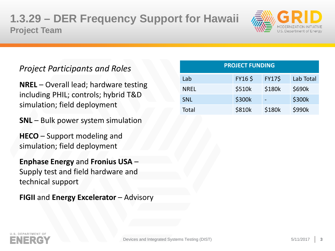# **1.3.29 – DER Frequency Support for Hawaii Project Team**



## *Project Participants and Roles*

**NREL** – Overall lead; hardware testing including PHIL; controls; hybrid T&D simulation; field deployment

**SNL** – Bulk power system simulation

**HECO** – Support modeling and simulation; field deployment

**Enphase Energy** and **Fronius USA** – Supply test and field hardware and technical support

**FIGII** and **Energy Excelerator** – Advisory

| <b>PROJECT FUNDING</b> |               |               |           |  |
|------------------------|---------------|---------------|-----------|--|
| Lab                    | <b>FY16\$</b> | <b>FY17\$</b> | Lab Total |  |
| <b>NREL</b>            | \$510k        | \$180k        | \$690k    |  |
| <b>SNL</b>             | \$300k        |               | \$300k    |  |
| Total                  | \$810k        | \$180k        | \$990k    |  |

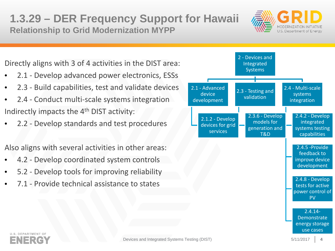# **1.3.29 – DER Frequency Support for Hawaii Relationship to Grid Modernization MYPP**



Directly aligns with 3 of 4 activities in the DIST area:

- 2.1 Develop advanced power electronics, ESSs
- 2.3 Build capabilities, test and validate devices
- 2.4 Conduct multi-scale systems integration Indirectly impacts the 4th DIST activity:
- 2.2 Develop standards and test procedures

Also aligns with several activities in other areas:

- 4.2 Develop coordinated system controls
- 5.2 Develop tools for improving reliability
- 7.1 Provide technical assistance to states



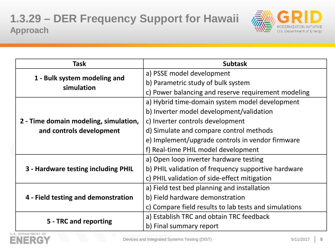

| <b>Task</b>                                | <b>Subtask</b>                                        |  |
|--------------------------------------------|-------------------------------------------------------|--|
| 1 - Bulk system modeling and<br>simulation | a) PSSE model development                             |  |
|                                            | b) Parametric study of bulk system                    |  |
|                                            | c) Power balancing and reserve requirement modeling   |  |
|                                            | a) Hybrid time-domain system model development        |  |
|                                            | b) Inverter model development/validation              |  |
| 2 - Time domain modeling, simulation,      | c) Inverter controls development                      |  |
| and controls development                   | d) Simulate and compare control methods               |  |
|                                            | e) Implement/upgrade controls in vendor firmware      |  |
|                                            | f) Real-time PHIL model development                   |  |
|                                            | a) Open loop inverter hardware testing                |  |
| 3 - Hardware testing including PHIL        | b) PHIL validation of frequency supportive hardware   |  |
|                                            | c) PHIL validation of side-effect mitigation          |  |
| 4 - Field testing and demonstration        | a) Field test bed planning and installation           |  |
|                                            | b) Field hardware demonstration                       |  |
|                                            | c) Compare field results to lab tests and simulations |  |
|                                            | a) Establish TRC and obtain TRC feedback              |  |
| 5 - TRC and reporting                      | b) Final summary report                               |  |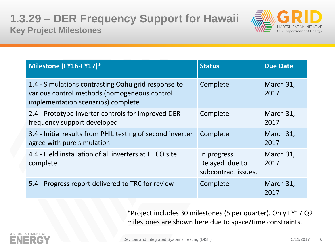

| Milestone (FY16-FY17)*                                                                                                                    | <b>Status</b>                                         | <b>Due Date</b>   |
|-------------------------------------------------------------------------------------------------------------------------------------------|-------------------------------------------------------|-------------------|
| 1.4 - Simulations contrasting Oahu grid response to<br>various control methods (homogeneous control<br>implementation scenarios) complete | Complete                                              | March 31,<br>2017 |
| 2.4 - Prototype inverter controls for improved DER<br>frequency support developed                                                         | Complete                                              | March 31,<br>2017 |
| 3.4 - Initial results from PHIL testing of second inverter<br>agree with pure simulation                                                  | Complete                                              | March 31,<br>2017 |
| 4.4 - Field installation of all inverters at HECO site<br>complete                                                                        | In progress.<br>Delayed due to<br>subcontract issues. | March 31,<br>2017 |
| 5.4 - Progress report delivered to TRC for review                                                                                         | Complete                                              | March 31,<br>2017 |

\*Project includes 30 milestones (5 per quarter). Only FY17 Q2 milestones are shown here due to space/time constraints.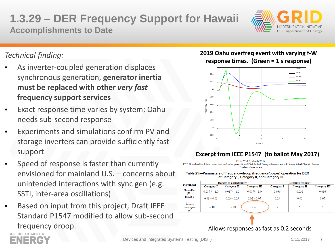# **1.3.29 – DER Frequency Support for Hawaii Accomplishments to Date**



## *Technical finding:*

- As inverter-coupled generation displaces synchronous generation, **generator inertia must be replaced with other** *very fast*  **frequency support services**
- Exact response time varies by system; Oahu needs sub-second response
- Experiments and simulations confirm PV and storage inverters can provide sufficiently fast support
- Speed of response is faster than currently envisioned for mainland U.S. – concerns about unintended interactions with sync gen (e.g. SSTI, inter-area oscillations)
- Based on input from this project, Draft IEEE Standard P1547 modified to allow sub-second frequency droop.

#### **2019 Oahu overfreq event with varying f-W response times. (Green = 1 s response)**



#### **Excerpt from IEEE P1547 (to ballot May 2017)**

IEEE Standard for Interconnection and Interoperability of Distributed Energy Resources with Associated Electric Power **Systems Interfaces** 

#### Table 25-Parameters of frequency-droop (frequency/power) operation for DER of Category I, Category II, and Category III

|                                    | Ranges of adjustability c |                 | Default settings <sup>a</sup> |                   |             |                     |
|------------------------------------|---------------------------|-----------------|-------------------------------|-------------------|-------------|---------------------|
| <b>Parameter</b>                   | <b>Category I</b>         | Category II     | <b>Category III</b>           | <b>Category I</b> | Category II | <b>Category III</b> |
| dbor, dbur<br>(Hz)                 | $0.017b - 1.0$            | $0.017^b - 1.0$ | $0.017^b - 1.0$               | 0.036             | 0.036       | 0.036               |
| kof, kuf                           | $0.03 - 0.05$             | $0.03 - 0.05$   | $0.02 - 0.05$                 | 0.05              | 0.05        | 0.05                |
| Tresponse<br>(small-signal)<br>(s) | $1 - 10$                  | $1 - 10$        | $0.2 - 10$                    |                   |             |                     |

#### Allows responses as fast as 0.2 seconds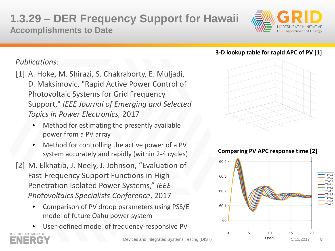# **1.3.29 – DER Frequency Support for Hawaii Accomplishments to Date**



### *Publications:*

- [1] A. Hoke, M. Shirazi, S. Chakraborty, E. Muljadi, D. Maksimovic, "Rapid Active Power Control of Photovoltaic Systems for Grid Frequency Support," *IEEE Journal of Emerging and Selected Topics in Power Electronics,* 2017
	- Method for estimating the presently available power from a PV array
	- Method for controlling the active power of a PV system accurately and rapidly (within 2-4 cycles)
- [2] M. Elkhatib, J. Neely, J. Johnson, "Evaluation of Fast-Frequency Support Functions in High Penetration Isolated Power Systems," *IEEE Photovoltaics Specialists Conference*, 2017
	- Comparison of PV droop parameters using PSS/E model of future Oahu power system
	- User-defined model of frequency-responsive PV



#### **3-D lookup table for rapid APC of PV [1]**



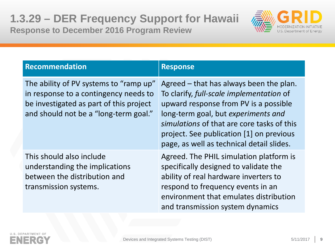

| <b>Recommendation</b>                                                                                                                                               | <b>Response</b>                                                                                                                                                                                                                                                                                            |
|---------------------------------------------------------------------------------------------------------------------------------------------------------------------|------------------------------------------------------------------------------------------------------------------------------------------------------------------------------------------------------------------------------------------------------------------------------------------------------------|
| The ability of PV systems to "ramp up"<br>in response to a contingency needs to<br>be investigated as part of this project<br>and should not be a "long-term goal." | Agreed – that has always been the plan.<br>To clarify, full-scale implementation of<br>upward response from PV is a possible<br>long-term goal, but experiments and<br>simulations of that are core tasks of this<br>project. See publication [1] on previous<br>page, as well as technical detail slides. |
| This should also include<br>understanding the implications<br>between the distribution and<br>transmission systems.                                                 | Agreed. The PHIL simulation platform is<br>specifically designed to validate the<br>ability of real hardware inverters to<br>respond to frequency events in an<br>environment that emulates distribution<br>and transmission system dynamics                                                               |

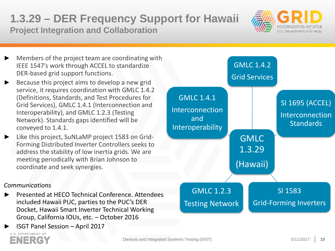## **1.3.29 – DER Frequency Support for Hawaii Project Integration and Collaboration**



- Members of the project team are coordinating with IEEE 1547's work through ACCEL to standardize DER-based grid support functions.
- Because this project aims to develop a new grid service, it requires coordination with GMLC 1.4.2 (Definitions, Standards, and Test Procedures for Grid Services), GMLC 1.4.1 (Interconnection and Interoperability), and GMLC 1.2.3 (Testing Network). Standards gaps identified will be conveyed to 1.4.1.
- Like this project, SuNLaMP project 1583 on Grid-Forming Distributed Inverter Controllers seeks to address the stability of low inertia grids. We are meeting periodically with Brian Johnson to coordinate and seek synergies.

#### *Communications*

- ► Presented at HECO Technical Conference. Attendees included Hawaii PUC, parties to the PUC's DER Docket, Hawaii Smart Inverter Technical Working Group, California IOUs, etc. – October 2016
- ► ISGT Panel Session April 2017



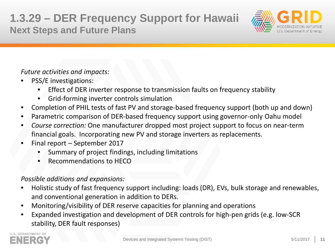# **1.3.29 – DER Frequency Support for Hawaii Next Steps and Future Plans**



*Future activities and impacts:*

- PSS/E investigations:
	- Effect of DER inverter response to transmission faults on frequency stability
	- Grid-forming inverter controls simulation
- Completion of PHIL tests of fast PV and storage-based frequency support (both up and down)
- Parametric comparison of DER-based frequency support using governor-only Oahu model
- *Course correction:* One manufacturer dropped most project support to focus on near-term financial goals. Incorporating new PV and storage inverters as replacements.
- Final report September 2017
	- Summary of project findings, including limitations
	- Recommendations to HECO

#### *Possible additions and expansions:*

- Holistic study of fast frequency support including: loads (DR), EVs, bulk storage and renewables, and conventional generation in addition to DERs.
- Monitoring/visibility of DER reserve capacities for planning and operations
- Expanded investigation and development of DER controls for high-pen grids (e.g. low-SCR stability, DER fault responses)

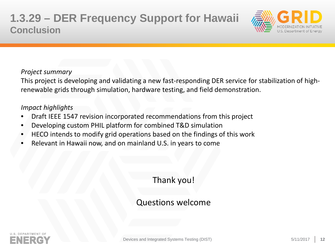

#### *Project summary*

This project is developing and validating a new fast-responding DER service for stabilization of highrenewable grids through simulation, hardware testing, and field demonstration.

#### *Impact highlights*

- Draft IEEE 1547 revision incorporated recommendations from this project
- Developing custom PHIL platform for combined T&D simulation
- HECO intends to modify grid operations based on the findings of this work
- Relevant in Hawaii now, and on mainland U.S. in years to come

## Thank you!

## Questions welcome

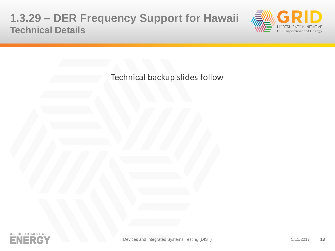## **1.3.29 – DER Frequency Support for Hawaii Technical Details**



Technical backup slides follow

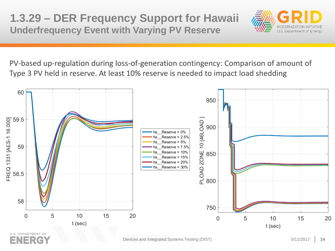# **1.3.29 – DER Frequency Support for Hawaii Underfrequency Event with Varying PV Reserve**



PV-based up-regulation during loss-of-generation contingency: Comparison of amount of Type 3 PV held in reserve. At least 10% reserve is needed to impact load shedding

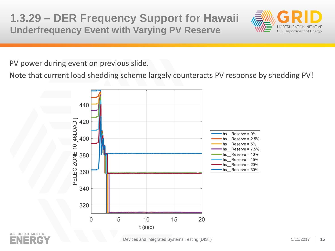**1.3.29 – DER Frequency Support for Hawaii Underfrequency Event with Varying PV Reserve**



PV power during event on previous slide.

Note that current load shedding scheme largely counteracts PV response by shedding PV!



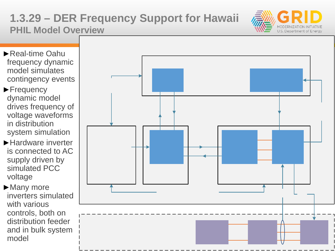# **1.3.29 – DER Frequency Support for Hawaii PHIL Model Overview**



- ►Real-time Oahu frequency dynamic model simulates contingency events
- ►Frequency dynamic model drives frequency of voltage waveforms in distribution system simulation
- ►Hardware inverter is connected to AC supply driven by simulated PCC voltage
- ► Many more inverters simulated with various controls, both on distribution feeder and in bulk system model